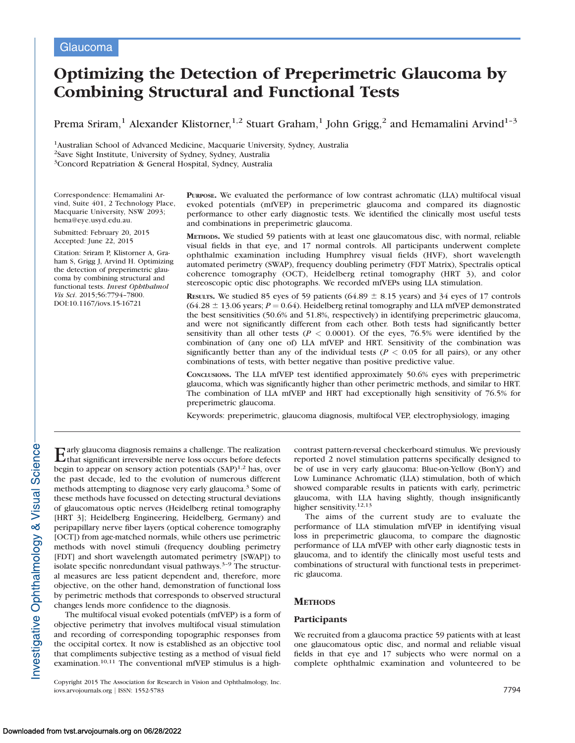# Optimizing the Detection of Preperimetric Glaucoma by Combining Structural and Functional Tests

Prema Sriram,<sup>1</sup> Alexander Klistorner,<sup>1,2</sup> Stuart Graham,<sup>1</sup> John Grigg,<sup>2</sup> and Hemamalini Arvind<sup>1-3</sup>

1Australian School of Advanced Medicine, Macquarie University, Sydney, Australia 2Save Sight Institute, University of Sydney, Sydney, Australia 3Concord Repatriation & General Hospital, Sydney, Australia

Correspondence: Hemamalini Arvind, Suite 401, 2 Technology Place, Macquarie University, NSW 2093; hema@eye.usyd.edu.au.

Submitted: February 20, 2015 Accepted: June 22, 2015

Citation: Sriram P, Klistorner A, Graham S, Grigg J, Arvind H. Optimizing the detection of preperimetric glaucoma by combining structural and functional tests. Invest Ophthalmol Vis Sci. 2015;56:7794–7800. DOI:10.1167/iovs.15-16721

PURPOSE. We evaluated the performance of low contrast achromatic (LLA) multifocal visual evoked potentials (mfVEP) in preperimetric glaucoma and compared its diagnostic performance to other early diagnostic tests. We identified the clinically most useful tests and combinations in preperimetric glaucoma.

METHODS. We studied 59 patients with at least one glaucomatous disc, with normal, reliable visual fields in that eye, and 17 normal controls. All participants underwent complete ophthalmic examination including Humphrey visual fields (HVF), short wavelength automated perimetry (SWAP), frequency doubling perimetry (FDT Matrix), Spectralis optical coherence tomography (OCT), Heidelberg retinal tomography (HRT 3), and color stereoscopic optic disc photographs. We recorded mfVEPs using LLA stimulation.

**RESULTS.** We studied 85 eyes of 59 patients (64.89  $\pm$  8.15 years) and 34 eyes of 17 controls  $(64.28 \pm 13.06$  years;  $P = 0.64$ ). Heidelberg retinal tomography and LLA mfVEP demonstrated the best sensitivities (50.6% and 51.8%, respectively) in identifying preperimetric glaucoma, and were not significantly different from each other. Both tests had significantly better sensitivity than all other tests ( $P < 0.0001$ ). Of the eyes, 76.5% were identified by the combination of (any one of) LLA mfVEP and HRT. Sensitivity of the combination was significantly better than any of the individual tests ( $P < 0.05$  for all pairs), or any other combinations of tests, with better negative than positive predictive value.

CONCLUSIONS. The LLA mfVEP test identified approximately 50.6% eyes with preperimetric glaucoma, which was significantly higher than other perimetric methods, and similar to HRT. The combination of LLA mfVEP and HRT had exceptionally high sensitivity of 76.5% for preperimetric glaucoma.

Keywords: preperimetric, glaucoma diagnosis, multifocal VEP, electrophysiology, imaging

Early glaucoma diagnosis remains a challenge. The realization that significant irreversible nerve loss occurs before defects begin to appear on sensory action potentials  $(SAP)^{1,2}$  has, over the past decade, led to the evolution of numerous different methods attempting to diagnose very early glaucoma.<sup>3</sup> Some of these methods have focussed on detecting structural deviations of glaucomatous optic nerves (Heidelberg retinal tomography [HRT 3]; Heidelberg Engineering, Heidelberg, Germany) and peripapillary nerve fiber layers (optical coherence tomography [OCT]) from age-matched normals, while others use perimetric methods with novel stimuli (frequency doubling perimetry [FDT] and short wavelength automated perimetry [SWAP]) to isolate specific nonredundant visual pathways.<sup>3-9</sup> The structural measures are less patient dependent and, therefore, more objective, on the other hand, demonstration of functional loss by perimetric methods that corresponds to observed structural changes lends more confidence to the diagnosis.

The multifocal visual evoked potentials (mfVEP) is a form of objective perimetry that involves multifocal visual stimulation and recording of corresponding topographic responses from the occipital cortex. It now is established as an objective tool that compliments subjective testing as a method of visual field examination.<sup>10,11</sup> The conventional mfVEP stimulus is a high-

Copyright 2015 The Association for Research in Vision and Ophthalmology, Inc. iovs.arvojournals.org j ISSN: 1552-5783 7794

contrast pattern-reversal checkerboard stimulus. We previously reported 2 novel stimulation patterns specifically designed to be of use in very early glaucoma: Blue-on-Yellow (BonY) and Low Luminance Achromatic (LLA) stimulation, both of which showed comparable results in patients with early, perimetric glaucoma, with LLA having slightly, though insignificantly higher sensitivity.<sup>12,13</sup>

The aims of the current study are to evaluate the performance of LLA stimulation mfVEP in identifying visual loss in preperimetric glaucoma, to compare the diagnostic performance of LLA mfVEP with other early diagnostic tests in glaucoma, and to identify the clinically most useful tests and combinations of structural with functional tests in preperimetric glaucoma.

# **METHODS**

## Participants

We recruited from a glaucoma practice 59 patients with at least one glaucomatous optic disc, and normal and reliable visual fields in that eye and 17 subjects who were normal on a complete ophthalmic examination and volunteered to be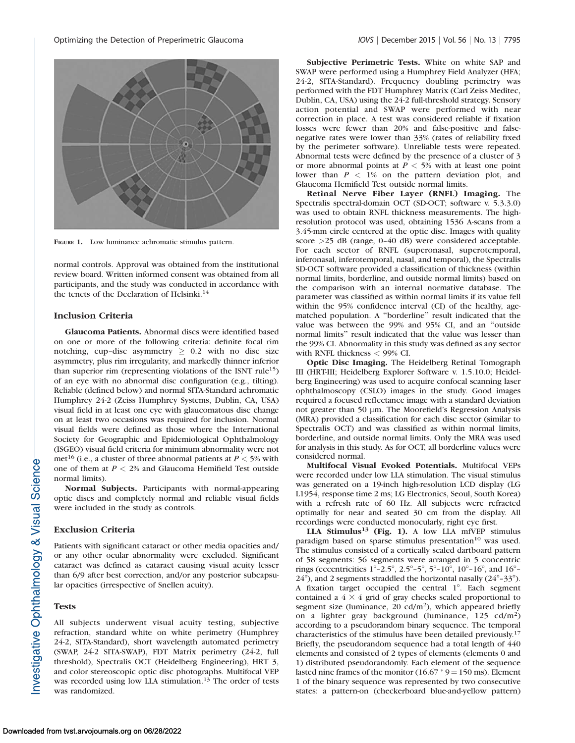

FIGURE 1. Low luminance achromatic stimulus pattern.

normal controls. Approval was obtained from the institutional review board. Written informed consent was obtained from all participants, and the study was conducted in accordance with the tenets of the Declaration of Helsinki.<sup>14</sup>

## Inclusion Criteria

Glaucoma Patients. Abnormal discs were identified based on one or more of the following criteria: definite focal rim notching, cup-disc asymmetry  $\geq 0.2$  with no disc size asymmetry, plus rim irregularity, and markedly thinner inferior than superior rim (representing violations of the ISNT rule<sup>15</sup>) of an eye with no abnormal disc configuration (e.g., tilting). Reliable (defined below) and normal SITA-Standard achromatic Humphrey 24-2 (Zeiss Humphrey Systems, Dublin, CA, USA) visual field in at least one eye with glaucomatous disc change on at least two occasions was required for inclusion. Normal visual fields were defined as those where the International Society for Geographic and Epidemiological Ophthalmology (ISGEO) visual field criteria for minimum abnormality were not met<sup>16</sup> (i.e., a cluster of three abnormal patients at  $P < 5\%$  with one of them at  $P < 2\%$  and Glaucoma Hemifield Test outside normal limits).

Normal Subjects. Participants with normal-appearing optic discs and completely normal and reliable visual fields were included in the study as controls.

#### Exclusion Criteria

Patients with significant cataract or other media opacities and/ or any other ocular abnormality were excluded. Significant cataract was defined as cataract causing visual acuity lesser than 6/9 after best correction, and/or any posterior subcapsular opacities (irrespective of Snellen acuity).

#### Tests

All subjects underwent visual acuity testing, subjective refraction, standard white on white perimetry (Humphrey 24-2, SITA-Standard), short wavelength automated perimetry (SWAP, 24-2 SITA-SWAP), FDT Matrix perimetry (24-2, full threshold), Spectralis OCT (Heidelberg Engineering), HRT 3, and color stereoscopic optic disc photographs. Multifocal VEP was recorded using low LLA stimulation.<sup>13</sup> The order of tests was randomized.

Subjective Perimetric Tests. White on white SAP and SWAP were performed using a Humphrey Field Analyzer (HFA; 24-2, SITA-Standard). Frequency doubling perimetry was performed with the FDT Humphrey Matrix (Carl Zeiss Meditec, Dublin, CA, USA) using the 24-2 full-threshold strategy. Sensory action potential and SWAP were performed with near correction in place. A test was considered reliable if fixation losses were fewer than 20% and false-positive and falsenegative rates were lower than 33% (rates of reliability fixed by the perimeter software). Unreliable tests were repeated. Abnormal tests were defined by the presence of a cluster of 3 or more abnormal points at  $P < 5\%$  with at least one point lower than  $P < 1\%$  on the pattern deviation plot, and Glaucoma Hemifield Test outside normal limits.

Retinal Nerve Fiber Layer (RNFL) Imaging. The Spectralis spectral-domain OCT (SD-OCT; software v. 5.3.3.0) was used to obtain RNFL thickness measurements. The highresolution protocol was used, obtaining 1536 A-scans from a 3.45-mm circle centered at the optic disc. Images with quality score >25 dB (range, 0-40 dB) were considered acceptable. For each sector of RNFL (superonasal, superotemporal, inferonasal, inferotemporal, nasal, and temporal), the Spectralis SD-OCT software provided a classification of thickness (within normal limits, borderline, and outside normal limits) based on the comparison with an internal normative database. The parameter was classified as within normal limits if its value fell within the 95% confidence interval (CI) of the healthy, agematched population. A ''borderline'' result indicated that the value was between the 99% and 95% CI, and an ''outside normal limits'' result indicated that the value was lesser than the 99% CI. Abnormality in this study was defined as any sector with RNFL thickness < 99% CI.

Optic Disc Imaging. The Heidelberg Retinal Tomograph III (HRT-III; Heidelberg Explorer Software v. 1.5.10.0; Heidelberg Engineering) was used to acquire confocal scanning laser ophthalmoscopy (CSLO) images in the study. Good images required a focused reflectance image with a standard deviation not greater than 50 μm. The Moorefield's Regression Analysis (MRA) provided a classification for each disc sector (similar to Spectralis OCT) and was classified as within normal limits, borderline, and outside normal limits. Only the MRA was used for analysis in this study. As for OCT, all borderline values were considered normal.

Multifocal Visual Evoked Potentials. Multifocal VEPs were recorded under low LLA stimulation. The visual stimulus was generated on a 19-inch high-resolution LCD display (LG L1954, response time 2 ms; LG Electronics, Seoul, South Korea) with a refresh rate of 60 Hz. All subjects were refracted optimally for near and seated 30 cm from the display. All recordings were conducted monocularly, right eye first.

LLA Stimulus<sup>13</sup> (Fig. 1). A low LLA mfVEP stimulus paradigm based on sparse stimulus presentation<sup>10</sup> was used. The stimulus consisted of a cortically scaled dartboard pattern of 58 segments: 56 segments were arranged in 5 concentric rings (eccentricities  $1^{\circ}$ -2.5°,  $2.5^{\circ}$ -5°,  $5^{\circ}$ -10°,  $10^{\circ}$ -16°, and  $16^{\circ}$ - $24^{\circ}$ ), and 2 segments straddled the horizontal nasally ( $24^{\circ}$ -33 $^{\circ}$ ). A fixation target occupied the central  $1^\circ$ . Each segment contained a  $4 \times 4$  grid of gray checks scaled proportional to segment size (luminance,  $20 \text{ cd/m}^2$ ), which appeared briefly on a lighter gray background (luminance,  $125 \text{ cd/m}^2$ ) according to a pseudorandom binary sequence. The temporal characteristics of the stimulus have been detailed previously.<sup>17</sup> Briefly, the pseudorandom sequence had a total length of 440 elements and consisted of 2 types of elements (elements 0 and 1) distributed pseudorandomly. Each element of the sequence lasted nine frames of the monitor  $(16.67 \times 9) = 150 \text{ ms}$ . Element 1 of the binary sequence was represented by two consecutive states: a pattern-on (checkerboard blue-and-yellow pattern)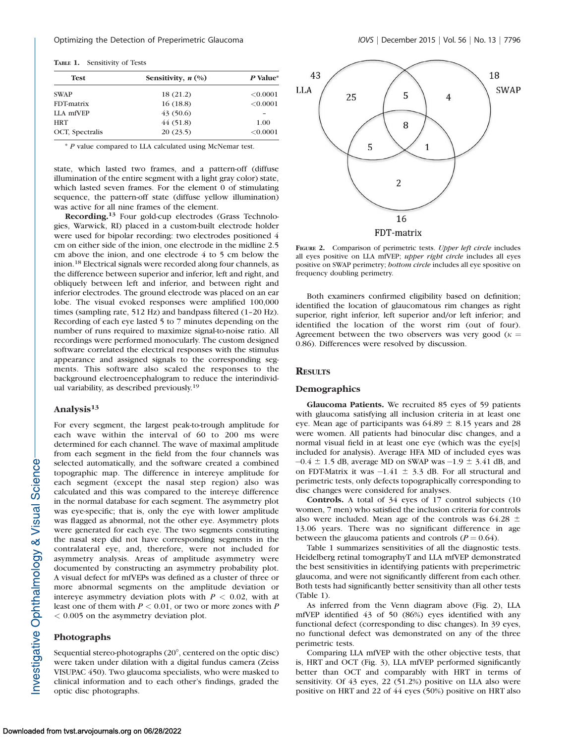TABLE 1. Sensitivity of Tests

| <b>Test</b>     | Sensitivity, $n$ $(\%)$ | P Value* |  |
|-----------------|-------------------------|----------|--|
| <b>SWAP</b>     | 18(21.2)                | < 0.0001 |  |
| FDT-matrix      | 16(18.8)                | < 0.0001 |  |
| LLA mfVEP       | 43(50.6)                |          |  |
| <b>HRT</b>      | 44(51.8)                | 1.00     |  |
| OCT, Spectralis | 20(23.5)                | < 0.0001 |  |

\* P value compared to LLA calculated using McNemar test.

state, which lasted two frames, and a pattern-off (diffuse illumination of the entire segment with a light gray color) state, which lasted seven frames. For the element 0 of stimulating sequence, the pattern-off state (diffuse yellow illumination) was active for all nine frames of the element.

Recording.13 Four gold-cup electrodes (Grass Technologies, Warwick, RI) placed in a custom-built electrode holder were used for bipolar recording: two electrodes positioned 4 cm on either side of the inion, one electrode in the midline 2.5 cm above the inion, and one electrode 4 to 5 cm below the inion.<sup>18</sup> Electrical signals were recorded along four channels, as the difference between superior and inferior, left and right, and obliquely between left and inferior, and between right and inferior electrodes. The ground electrode was placed on an ear lobe. The visual evoked responses were amplified 100,000 times (sampling rate, 512 Hz) and bandpass filtered (1–20 Hz). Recording of each eye lasted 5 to 7 minutes depending on the number of runs required to maximize signal-to-noise ratio. All recordings were performed monocularly. The custom designed software correlated the electrical responses with the stimulus appearance and assigned signals to the corresponding segments. This software also scaled the responses to the background electroencephalogram to reduce the interindividual variability, as described previously.19

#### Analysis<sup>13</sup>

For every segment, the largest peak-to-trough amplitude for each wave within the interval of 60 to 200 ms were determined for each channel. The wave of maximal amplitude from each segment in the field from the four channels was selected automatically, and the software created a combined topographic map. The difference in intereye amplitude for each segment (except the nasal step region) also was calculated and this was compared to the intereye difference in the normal database for each segment. The asymmetry plot was eye-specific; that is, only the eye with lower amplitude was flagged as abnormal, not the other eye. Asymmetry plots were generated for each eye. The two segments constituting the nasal step did not have corresponding segments in the contralateral eye, and, therefore, were not included for asymmetry analysis. Areas of amplitude asymmetry were documented by constructing an asymmetry probability plot. A visual defect for mfVEPs was defined as a cluster of three or more abnormal segments on the amplitude deviation or intereye asymmetry deviation plots with  $P < 0.02$ , with at least one of them with  $P < 0.01$ , or two or more zones with P < 0.005 on the asymmetry deviation plot.

#### Photographs

Sequential stereo-photographs  $(20^{\circ},$  centered on the optic disc) were taken under dilation with a digital fundus camera (Zeiss VISUPAC 450). Two glaucoma specialists, who were masked to clinical information and to each other's findings, graded the optic disc photographs.



FIGURE 2. Comparison of perimetric tests. Upper left circle includes all eyes positive on LLA mfVEP; upper right circle includes all eyes positive on SWAP perimetry; bottom circle includes all eye spositive on frequency doubling perimetry.

Both examiners confirmed eligibility based on definition; identified the location of glaucomatous rim changes as right superior, right inferior, left superior and/or left inferior; and identified the location of the worst rim (out of four). Agreement between the two observers was very good ( $\kappa$  = 0.86). Differences were resolved by discussion.

## **RESULTS**

#### **Demographics**

Glaucoma Patients. We recruited 85 eyes of 59 patients with glaucoma satisfying all inclusion criteria in at least one eye. Mean age of participants was  $64.89 \pm 8.15$  years and 28 were women. All patients had binocular disc changes, and a normal visual field in at least one eye (which was the eye[s] included for analysis). Average HFA MD of included eyes was  $-0.4 \pm 1.5$  dB, average MD on SWAP was  $-1.9 \pm 3.41$  dB, and on FDT-Matrix it was  $-1.41 \pm 3.3$  dB. For all structural and perimetric tests, only defects topographically corresponding to disc changes were considered for analyses.

Controls. A total of 34 eyes of 17 control subjects (10 women, 7 men) who satisfied the inclusion criteria for controls also were included. Mean age of the controls was  $64.28 \pm$ 13.06 years. There was no significant difference in age between the glaucoma patients and controls ( $P = 0.64$ ).

Table 1 summarizes sensitivities of all the diagnostic tests. Heidelberg retinal tomographyT and LLA mfVEP demonstrated the best sensitivities in identifying patients with preperimetric glaucoma, and were not significantly different from each other. Both tests had significantly better sensitivity than all other tests (Table 1).

As inferred from the Venn diagram above (Fig. 2), LLA mfVEP identified 43 of 50 (86%) eyes identified with any functional defect (corresponding to disc changes). In 39 eyes, no functional defect was demonstrated on any of the three perimetric tests.

Comparing LLA mfVEP with the other objective tests, that is, HRT and OCT (Fig. 3), LLA mfVEP performed significantly better than OCT and comparably with HRT in terms of sensitivity. Of 43 eyes, 22 (51.2%) positive on LLA also were positive on HRT and 22 of 44 eyes (50%) positive on HRT also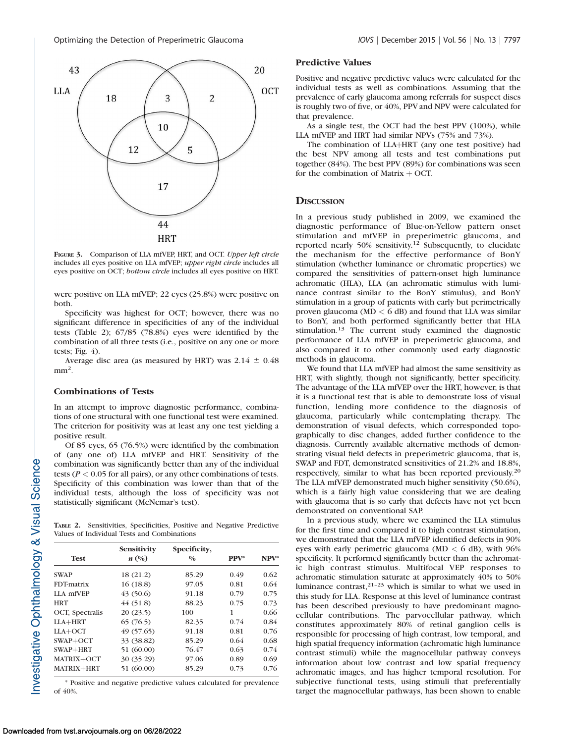

FIGURE 3. Comparison of LLA mfVEP, HRT, and OCT. Upper left circle includes all eyes positive on LLA mfVEP; upper right circle includes all eyes positive on OCT; bottom circle includes all eyes positive on HRT.

were positive on LLA mfVEP; 22 eyes (25.8%) were positive on both.

Specificity was highest for OCT; however, there was no significant difference in specificities of any of the individual tests (Table 2); 67/85 (78.8%) eyes were identified by the combination of all three tests (i.e., positive on any one or more tests; Fig. 4).

Average disc area (as measured by HRT) was  $2.14 \pm 0.48$  $mm<sup>2</sup>$ .

## Combinations of Tests

In an attempt to improve diagnostic performance, combinations of one structural with one functional test were examined. The criterion for positivity was at least any one test yielding a positive result.

Of 85 eyes, 65 (76.5%) were identified by the combination of (any one of) LLA mfVEP and HRT. Sensitivity of the combination was significantly better than any of the individual tests ( $P < 0.05$  for all pairs), or any other combinations of tests. Specificity of this combination was lower than that of the individual tests, although the loss of specificity was not statistically significant (McNemar's test).

TABLE 2. Sensitivities, Specificities, Positive and Negative Predictive Values of Individual Tests and Combinations

| <b>Test</b>     | Sensitivity<br>$n \left(\frac{0}{0}\right)$ | Specificity,<br>$\frac{0}{0}$ | $PPV^*$ | $NPV^*$ |
|-----------------|---------------------------------------------|-------------------------------|---------|---------|
|                 |                                             |                               |         |         |
| FDT-matrix      | 16(18.8)                                    | 97.05                         | 0.81    | 0.64    |
| LLA mfVEP       | 43(50.6)                                    | 91.18                         | 0.79    | 0.75    |
| <b>HRT</b>      | 44(51.8)                                    | 88.23                         | 0.75    | 0.73    |
| OCT, Spectralis | 20(23.5)                                    | 100                           | 1       | 0.66    |
| $LLA + HRT$     | 65(76.5)                                    | 82.35                         | 0.74    | 0.84    |
| $LLA+OCT$       | 49(57.65)                                   | 91.18                         | 0.81    | 0.76    |
| $SWAP+OCT$      | 33 (38.82)                                  | 85.29                         | 0.64    | 0.68    |
| SWAP+HRT        | 51 (60.00)                                  | 76.47                         | 0.63    | 0.74    |
| MATRIX+OCT      | 30 (35.29)                                  | 97.06                         | 0.89    | 0.69    |
| MATRIX+HRT      | 51 (60.00)                                  | 85.29                         | 0.73    | 0.76    |

\* Positive and negative predictive values calculated for prevalence of 40%.

## Predictive Values

Positive and negative predictive values were calculated for the individual tests as well as combinations. Assuming that the prevalence of early glaucoma among referrals for suspect discs is roughly two of five, or 40%, PPV and NPV were calculated for that prevalence.

As a single test, the OCT had the best PPV (100%), while LLA mfVEP and HRT had similar NPVs (75% and 73%).

The combination of LLA+HRT (any one test positive) had the best NPV among all tests and test combinations put together (84%). The best PPV (89%) for combinations was seen for the combination of Matrix  $+$  OCT.

# **DISCUSSION**

In a previous study published in 2009, we examined the diagnostic performance of Blue-on-Yellow pattern onset stimulation and mfVEP in preperimetric glaucoma, and reported nearly 50% sensitivity.12 Subsequently, to elucidate the mechanism for the effective performance of BonY stimulation (whether luminance or chromatic properties) we compared the sensitivities of pattern-onset high luminance achromatic (HLA), LLA (an achromatic stimulus with luminance contrast similar to the BonY stimulus), and BonY stimulation in a group of patients with early but perimetrically proven glaucoma ( $MD < 6$  dB) and found that LLA was similar to BonY, and both performed significantly better that HLA stimulation.<sup>13</sup> The current study examined the diagnostic performance of LLA mfVEP in preperimetric glaucoma, and also compared it to other commonly used early diagnostic methods in glaucoma.

We found that LLA mfVEP had almost the same sensitivity as HRT, with slightly, though not significantly, better specificity. The advantage of the LLA mfVEP over the HRT, however, is that it is a functional test that is able to demonstrate loss of visual function, lending more confidence to the diagnosis of glaucoma, particularly while contemplating therapy. The demonstration of visual defects, which corresponded topographically to disc changes, added further confidence to the diagnosis. Currently available alternative methods of demonstrating visual field defects in preperimetric glaucoma, that is, SWAP and FDT, demonstrated sensitivities of 21.2% and 18.8%, respectively, similar to what has been reported previously.<sup>20</sup> The LLA mfVEP demonstrated much higher sensitivity (50.6%), which is a fairly high value considering that we are dealing with glaucoma that is so early that defects have not yet been demonstrated on conventional SAP.

In a previous study, where we examined the LLA stimulus for the first time and compared it to high contrast stimulation, we demonstrated that the LLA mfVEP identified defects in 90% eyes with early perimetric glaucoma (MD  $<$  6 dB), with 96% specificity. It performed significantly better than the achromatic high contrast stimulus. Multifocal VEP responses to achromatic stimulation saturate at approximately 40% to 50% luminance contrast, $2^{1-23}$  which is similar to what we used in this study for LLA. Response at this level of luminance contrast has been described previously to have predominant magnocellular contributions. The parvocellular pathway, which constitutes approximately 80% of retinal ganglion cells is responsible for processing of high contrast, low temporal, and high spatial frequency information (achromatic high luminance contrast stimuli) while the magnocellular pathway conveys information about low contrast and low spatial frequency achromatic images, and has higher temporal resolution. For subjective functional tests, using stimuli that preferentially target the magnocellular pathways, has been shown to enable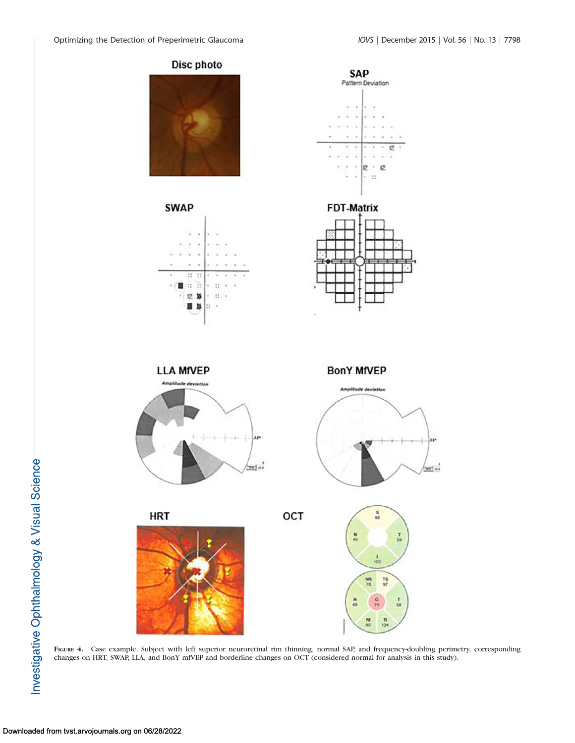$\frac{1}{2}$ 

 $rac{1}{102}$ 

 $\frac{0}{24}$ 

 $\frac{n}{124}$ M2

NS<br>76 TS<br>97

IŽ.

12  $\mu$ 12

 $\ddot{\ddot{\phantom{z}}}\,$ 



FIGURE 4. Case example. Subject with left superior neuroretinal rim thinning, normal SAP, and frequency-doubling perimetry, corresponding changes on HRT, SWAP, LLA, and BonY mfVEP and borderline changes on OCT (considered normal for analysis in this study).

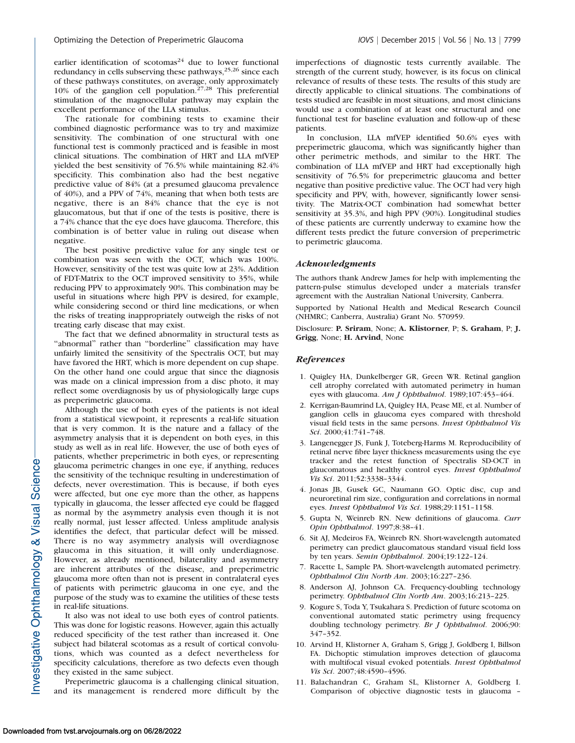earlier identification of  $scotomas^{24}$  due to lower functional redundancy in cells subserving these pathways,<sup>25,26</sup> since each of these pathways constitutes, on average, only approximately 10% of the ganglion cell population.27,28 This preferential stimulation of the magnocellular pathway may explain the excellent performance of the LLA stimulus.

The rationale for combining tests to examine their combined diagnostic performance was to try and maximize sensitivity. The combination of one structural with one functional test is commonly practiced and is feasible in most clinical situations. The combination of HRT and LLA mfVEP yielded the best sensitivity of 76.5% while maintaining 82.4% specificity. This combination also had the best negative predictive value of 84% (at a presumed glaucoma prevalence of 40%), and a PPV of 74%, meaning that when both tests are negative, there is an 84% chance that the eye is not glaucomatous, but that if one of the tests is positive, there is a 74% chance that the eye does have glaucoma. Therefore, this combination is of better value in ruling out disease when negative.

The best positive predictive value for any single test or combination was seen with the OCT, which was 100%. However, sensitivity of the test was quite low at 23%. Addition of FDT-Matrix to the OCT improved sensitivity to 35%, while reducing PPV to approximately 90%. This combination may be useful in situations where high PPV is desired, for example, while considering second or third line medications, or when the risks of treating inappropriately outweigh the risks of not treating early disease that may exist.

The fact that we defined abnormality in structural tests as "abnormal" rather than "borderline" classification may have unfairly limited the sensitivity of the Spectralis OCT, but may have favored the HRT, which is more dependent on cup shape. On the other hand one could argue that since the diagnosis was made on a clinical impression from a disc photo, it may reflect some overdiagnosis by us of physiologically large cups as preperimetric glaucoma.

Although the use of both eyes of the patients is not ideal from a statistical viewpoint, it represents a real-life situation that is very common. It is the nature and a fallacy of the asymmetry analysis that it is dependent on both eyes, in this study as well as in real life. However, the use of both eyes of patients, whether preperimetric in both eyes, or representing glaucoma perimetric changes in one eye, if anything, reduces the sensitivity of the technique resulting in underestimation of defects, never overestimation. This is because, if both eyes were affected, but one eye more than the other, as happens typically in glaucoma, the lesser affected eye could be flagged as normal by the asymmetry analysis even though it is not really normal, just lesser affected. Unless amplitude analysis identifies the defect, that particular defect will be missed. There is no way asymmetry analysis will overdiagnose glaucoma in this situation, it will only underdiagnose. However, as already mentioned, bilaterality and asymmetry are inherent attributes of the disease, and preperimetric glaucoma more often than not is present in contralateral eyes of patients with perimetric glaucoma in one eye, and the purpose of the study was to examine the utilities of these tests in real-life situations.

It also was not ideal to use both eyes of control patients. This was done for logistic reasons. However, again this actually reduced specificity of the test rather than increased it. One subject had bilateral scotomas as a result of cortical convolutions, which was counted as a defect nevertheless for specificity calculations, therefore as two defects even though they existed in the same subject.

Preperimetric glaucoma is a challenging clinical situation, and its management is rendered more difficult by the imperfections of diagnostic tests currently available. The strength of the current study, however, is its focus on clinical relevance of results of these tests. The results of this study are directly applicable to clinical situations. The combinations of tests studied are feasible in most situations, and most clinicians would use a combination of at least one structural and one functional test for baseline evaluation and follow-up of these patients.

In conclusion, LLA mfVEP identified 50.6% eyes with preperimetric glaucoma, which was significantly higher than other perimetric methods, and similar to the HRT. The combination of LLA mfVEP and HRT had exceptionally high sensitivity of 76.5% for preperimetric glaucoma and better negative than positive predictive value. The OCT had very high specificity and PPV, with, however, significantly lower sensitivity. The Matrix-OCT combination had somewhat better sensitivity at 35.3%, and high PPV (90%). Longitudinal studies of these patients are currently underway to examine how the different tests predict the future conversion of preperimetric to perimetric glaucoma.

### Acknowledgments

The authors thank Andrew James for help with implementing the pattern-pulse stimulus developed under a materials transfer agreement with the Australian National University, Canberra.

Supported by National Health and Medical Research Council (NHMRC; Canberra, Australia) Grant No. 570959.

Disclosure: P. Sriram, None; A. Klistorner, P; S. Graham, P; J. Grigg, None; H. Arvind, None

### **References**

- 1. Quigley HA, Dunkelberger GR, Green WR. Retinal ganglion cell atrophy correlated with automated perimetry in human eyes with glaucoma. Am J Ophthalmol. 1989;107:453-464.
- 2. Kerrigan-Baumrind LA, Quigley HA, Pease ME, et al. Number of ganglion cells in glaucoma eyes compared with threshold visual field tests in the same persons. Invest Ophthalmol Vis Sci. 2000;41:741–748.
- 3. Langenegger JS, Funk J, Toteberg-Harms M. Reproducibility of retinal nerve fibre layer thickness measurements using the eye tracker and the retest function of Spectralis SD-OCT in glaucomatous and healthy control eyes. Invest Ophthalmol Vis Sci. 2011;52:3338–3344.
- 4. Jonas JB, Gusek GC, Naumann GO. Optic disc, cup and neuroretinal rim size, configuration and correlations in normal eyes. Invest Ophthalmol Vis Sci. 1988;29:1151–1158.
- 5. Gupta N, Weinreb RN. New definitions of glaucoma. Curr Opin Ophthalmol. 1997;8:38–41.
- 6. Sit AJ, Medeiros FA, Weinreb RN. Short-wavelength automated perimetry can predict glaucomatous standard visual field loss by ten years. Semin Ophthalmol. 2004;19:122–124.
- 7. Racette L, Sample PA. Short-wavelength automated perimetry. Ophthalmol Clin North Am. 2003;16:227–236.
- 8. Anderson AJ, Johnson CA. Frequency-doubling technology perimetry. Ophthalmol Clin North Am. 2003;16:213–225.
- 9. Kogure S, Toda Y, Tsukahara S. Prediction of future scotoma on conventional automated static perimetry using frequency doubling technology perimetry. Br J Ophthalmol. 2006;90: 347–352.
- 10. Arvind H, Klistorner A, Graham S, Grigg J, Goldberg I, Billson FA. Dichoptic stimulation improves detection of glaucoma with multifocal visual evoked potentials. Invest Ophthalmol Vis Sci. 2007;48:4590–4596.
- 11. Balachandran C, Graham SL, Klistorner A, Goldberg I. Comparison of objective diagnostic tests in glaucoma –